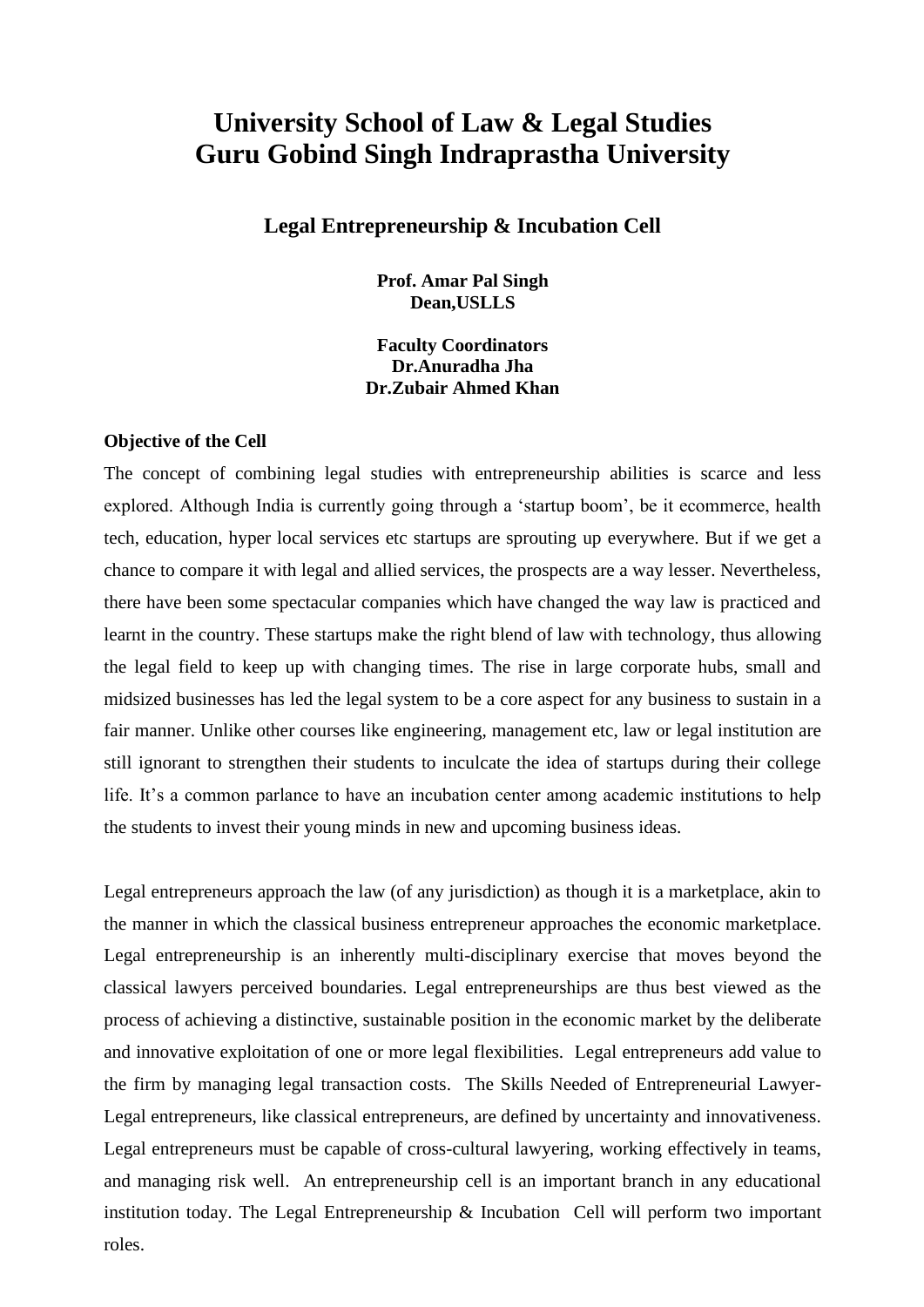## **University School of Law & Legal Studies Guru Gobind Singh Indraprastha University**

#### **Legal Entrepreneurship & Incubation Cell**

**Prof. Amar Pal Singh Dean,USLLS**

#### **Faculty Coordinators Dr.Anuradha Jha Dr.Zubair Ahmed Khan**

#### **Objective of the Cell**

The concept of combining legal studies with entrepreneurship abilities is scarce and less explored. Although India is currently going through a 'startup boom', be it ecommerce, health tech, education, hyper local services etc startups are sprouting up everywhere. But if we get a chance to compare it with legal and allied services, the prospects are a way lesser. Nevertheless, there have been some spectacular companies which have changed the way law is practiced and learnt in the country. These startups make the right blend of law with technology, thus allowing the legal field to keep up with changing times. The rise in large corporate hubs, small and midsized businesses has led the legal system to be a core aspect for any business to sustain in a fair manner. Unlike other courses like engineering, management etc, law or legal institution are still ignorant to strengthen their students to inculcate the idea of startups during their college life. It's a common parlance to have an incubation center among academic institutions to help the students to invest their young minds in new and upcoming business ideas.

Legal entrepreneurs approach the law (of any jurisdiction) as though it is a marketplace, akin to the manner in which the classical business entrepreneur approaches the economic marketplace. Legal entrepreneurship is an inherently multi-disciplinary exercise that moves beyond the classical lawyers perceived boundaries. Legal entrepreneurships are thus best viewed as the process of achieving a distinctive, sustainable position in the economic market by the deliberate and innovative exploitation of one or more legal flexibilities. Legal entrepreneurs add value to the firm by managing legal transaction costs. The Skills Needed of Entrepreneurial Lawyer-Legal entrepreneurs, like classical entrepreneurs, are defined by uncertainty and innovativeness. Legal entrepreneurs must be capable of cross-cultural lawyering, working effectively in teams, and managing risk well. An entrepreneurship cell is an important branch in any educational institution today. The Legal Entrepreneurship & Incubation Cell will perform two important roles.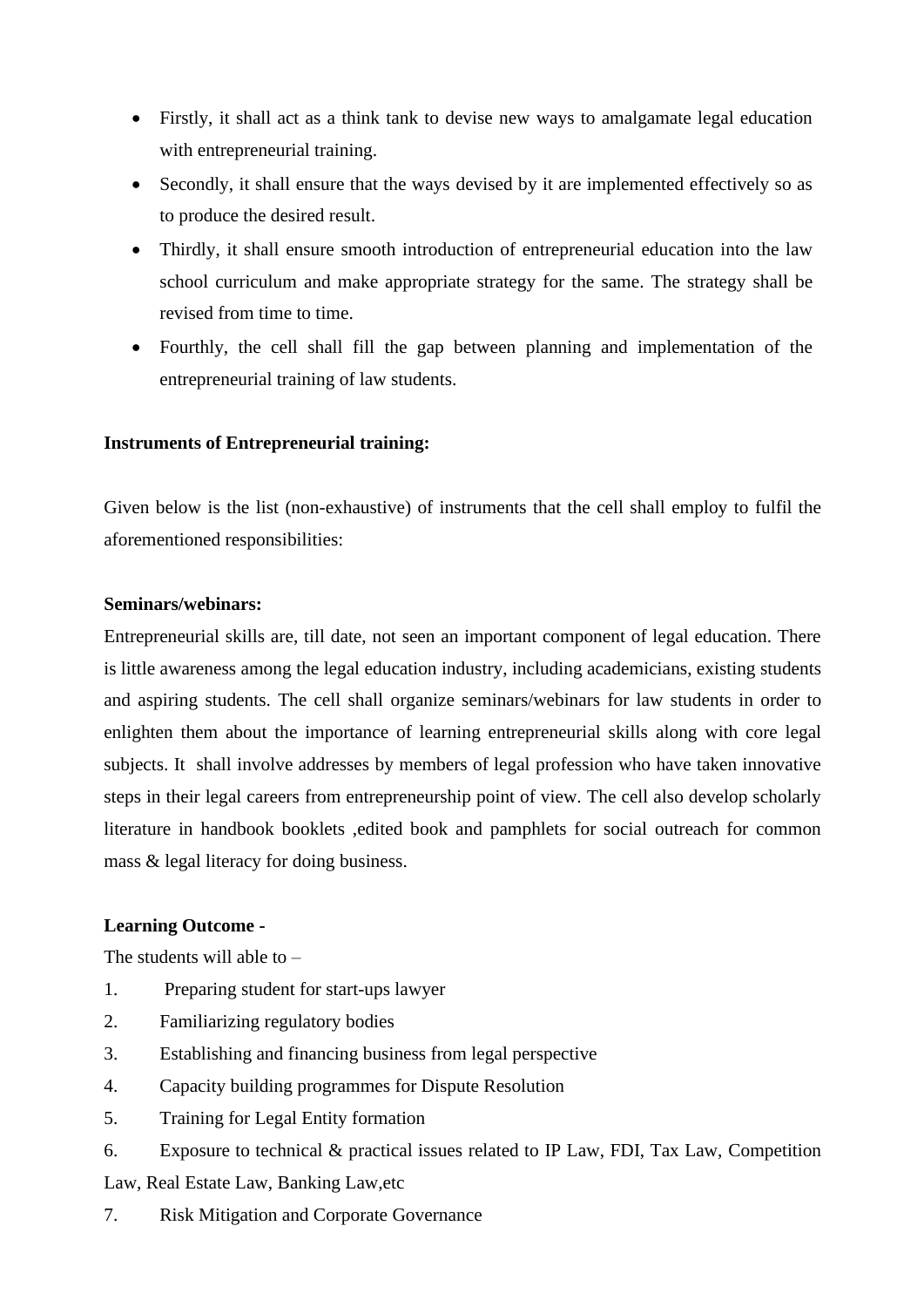- Firstly, it shall act as a think tank to devise new ways to amalgamate legal education with entrepreneurial training.
- Secondly, it shall ensure that the ways devised by it are implemented effectively so as to produce the desired result.
- Thirdly, it shall ensure smooth introduction of entrepreneurial education into the law school curriculum and make appropriate strategy for the same. The strategy shall be revised from time to time.
- Fourthly, the cell shall fill the gap between planning and implementation of the entrepreneurial training of law students.

#### **Instruments of Entrepreneurial training:**

Given below is the list (non-exhaustive) of instruments that the cell shall employ to fulfil the aforementioned responsibilities:

#### **Seminars/webinars:**

Entrepreneurial skills are, till date, not seen an important component of legal education. There is little awareness among the legal education industry, including academicians, existing students and aspiring students. The cell shall organize seminars/webinars for law students in order to enlighten them about the importance of learning entrepreneurial skills along with core legal subjects. It shall involve addresses by members of legal profession who have taken innovative steps in their legal careers from entrepreneurship point of view. The cell also develop scholarly literature in handbook booklets ,edited book and pamphlets for social outreach for common mass & legal literacy for doing business.

#### **Learning Outcome -**

The students will able to –

- 1. Preparing student for start-ups lawyer
- 2. Familiarizing regulatory bodies
- 3. Establishing and financing business from legal perspective
- 4. Capacity building programmes for Dispute Resolution
- 5. Training for Legal Entity formation
- 6. Exposure to technical & practical issues related to IP Law, FDI, Tax Law, Competition Law, Real Estate Law, Banking Law,etc
- 7. Risk Mitigation and Corporate Governance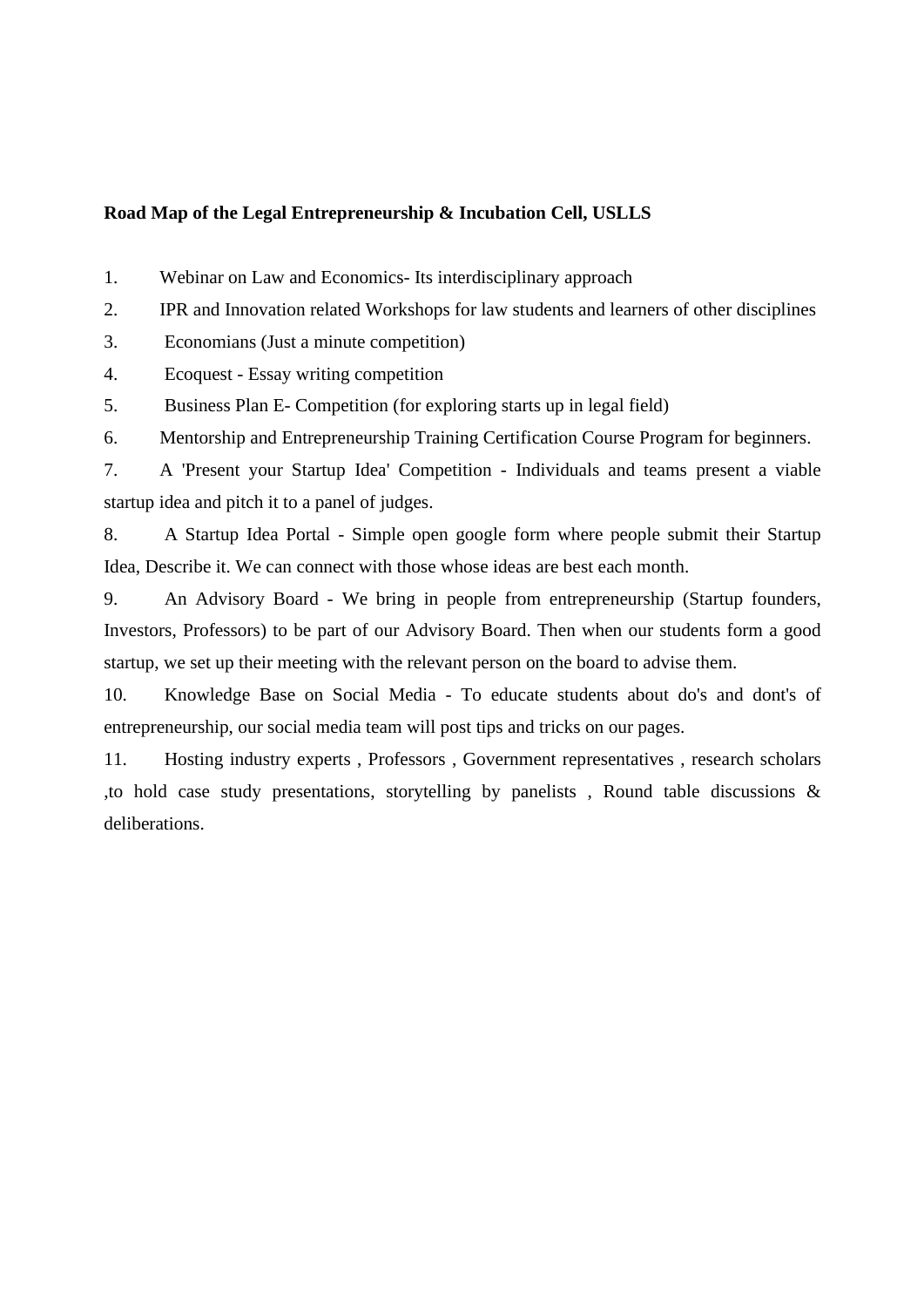#### **Road Map of the Legal Entrepreneurship & Incubation Cell, USLLS**

- 1. Webinar on Law and Economics- Its interdisciplinary approach
- 2. IPR and Innovation related Workshops for law students and learners of other disciplines
- 3. Economians (Just a minute competition)
- 4. Ecoquest Essay writing competition
- 5. Business Plan E- Competition (for exploring starts up in legal field)
- 6. Mentorship and Entrepreneurship Training Certification Course Program for beginners.

7. A 'Present your Startup Idea' Competition - Individuals and teams present a viable startup idea and pitch it to a panel of judges.

8. A Startup Idea Portal - Simple open google form where people submit their Startup Idea, Describe it. We can connect with those whose ideas are best each month.

9. An Advisory Board - We bring in people from entrepreneurship (Startup founders, Investors, Professors) to be part of our Advisory Board. Then when our students form a good startup, we set up their meeting with the relevant person on the board to advise them.

10. Knowledge Base on Social Media - To educate students about do's and dont's of entrepreneurship, our social media team will post tips and tricks on our pages.

11. Hosting industry experts , Professors , Government representatives , research scholars ,to hold case study presentations, storytelling by panelists , Round table discussions & deliberations.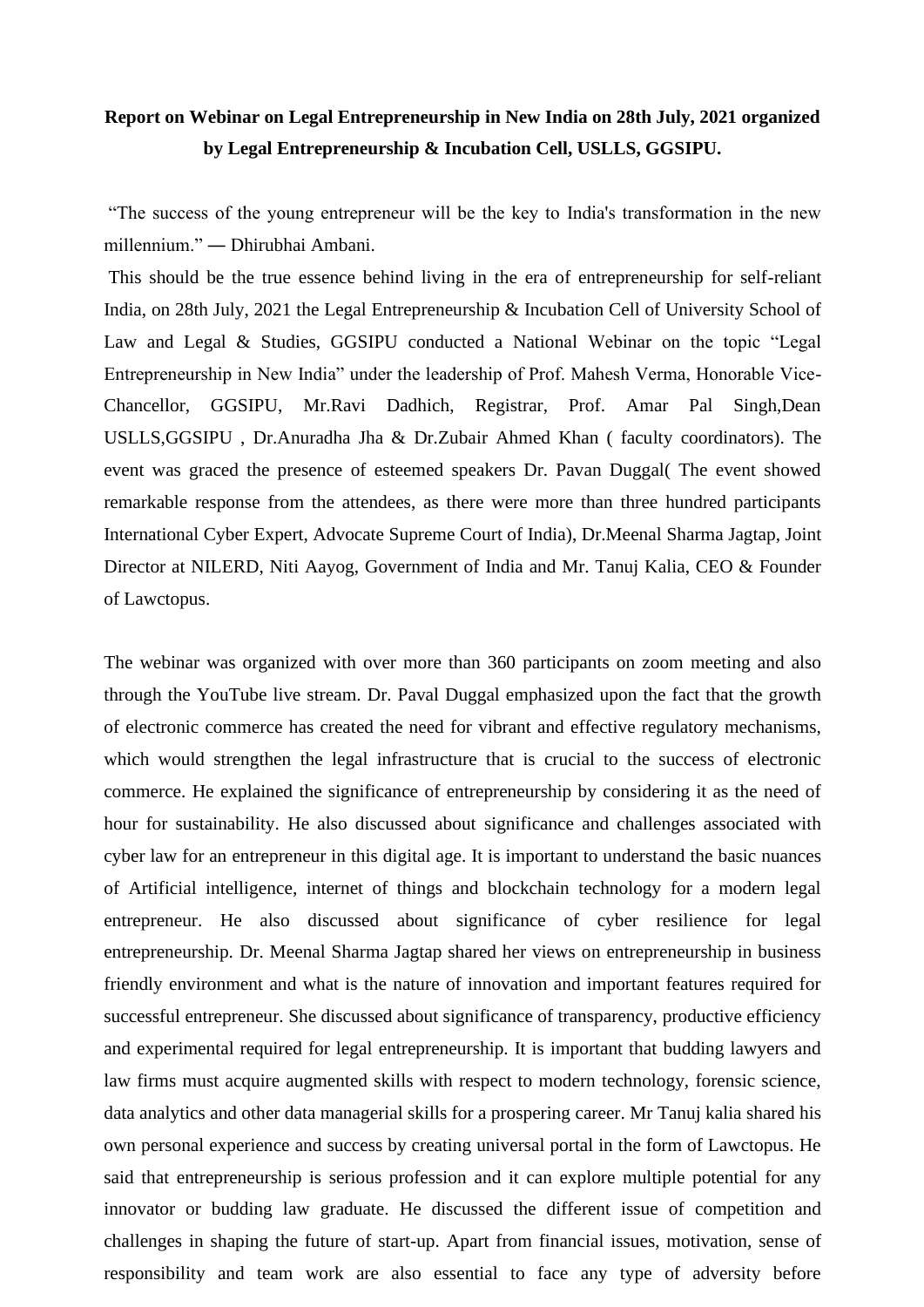#### **Report on Webinar on Legal Entrepreneurship in New India on 28th July, 2021 organized by Legal Entrepreneurship & Incubation Cell, USLLS, GGSIPU.**

"The success of the young entrepreneur will be the key to India's transformation in the new millennium." ― Dhirubhai Ambani.

This should be the true essence behind living in the era of entrepreneurship for self-reliant India, on 28th July, 2021 the Legal Entrepreneurship & Incubation Cell of University School of Law and Legal & Studies, GGSIPU conducted a National Webinar on the topic "Legal Entrepreneurship in New India" under the leadership of Prof. Mahesh Verma, Honorable Vice-Chancellor, GGSIPU, Mr.Ravi Dadhich, Registrar, Prof. Amar Pal Singh,Dean USLLS,GGSIPU , Dr.Anuradha Jha & Dr.Zubair Ahmed Khan ( faculty coordinators). The event was graced the presence of esteemed speakers Dr. Pavan Duggal( The event showed remarkable response from the attendees, as there were more than three hundred participants International Cyber Expert, Advocate Supreme Court of India), Dr.Meenal Sharma Jagtap, Joint Director at NILERD, Niti Aayog, Government of India and Mr. Tanuj Kalia, CEO & Founder of Lawctopus.

The webinar was organized with over more than 360 participants on zoom meeting and also through the YouTube live stream. Dr. Paval Duggal emphasized upon the fact that the growth of electronic commerce has created the need for vibrant and effective regulatory mechanisms, which would strengthen the legal infrastructure that is crucial to the success of electronic commerce. He explained the significance of entrepreneurship by considering it as the need of hour for sustainability. He also discussed about significance and challenges associated with cyber law for an entrepreneur in this digital age. It is important to understand the basic nuances of Artificial intelligence, internet of things and blockchain technology for a modern legal entrepreneur. He also discussed about significance of cyber resilience for legal entrepreneurship. Dr. Meenal Sharma Jagtap shared her views on entrepreneurship in business friendly environment and what is the nature of innovation and important features required for successful entrepreneur. She discussed about significance of transparency, productive efficiency and experimental required for legal entrepreneurship. It is important that budding lawyers and law firms must acquire augmented skills with respect to modern technology, forensic science, data analytics and other data managerial skills for a prospering career. Mr Tanuj kalia shared his own personal experience and success by creating universal portal in the form of Lawctopus. He said that entrepreneurship is serious profession and it can explore multiple potential for any innovator or budding law graduate. He discussed the different issue of competition and challenges in shaping the future of start-up. Apart from financial issues, motivation, sense of responsibility and team work are also essential to face any type of adversity before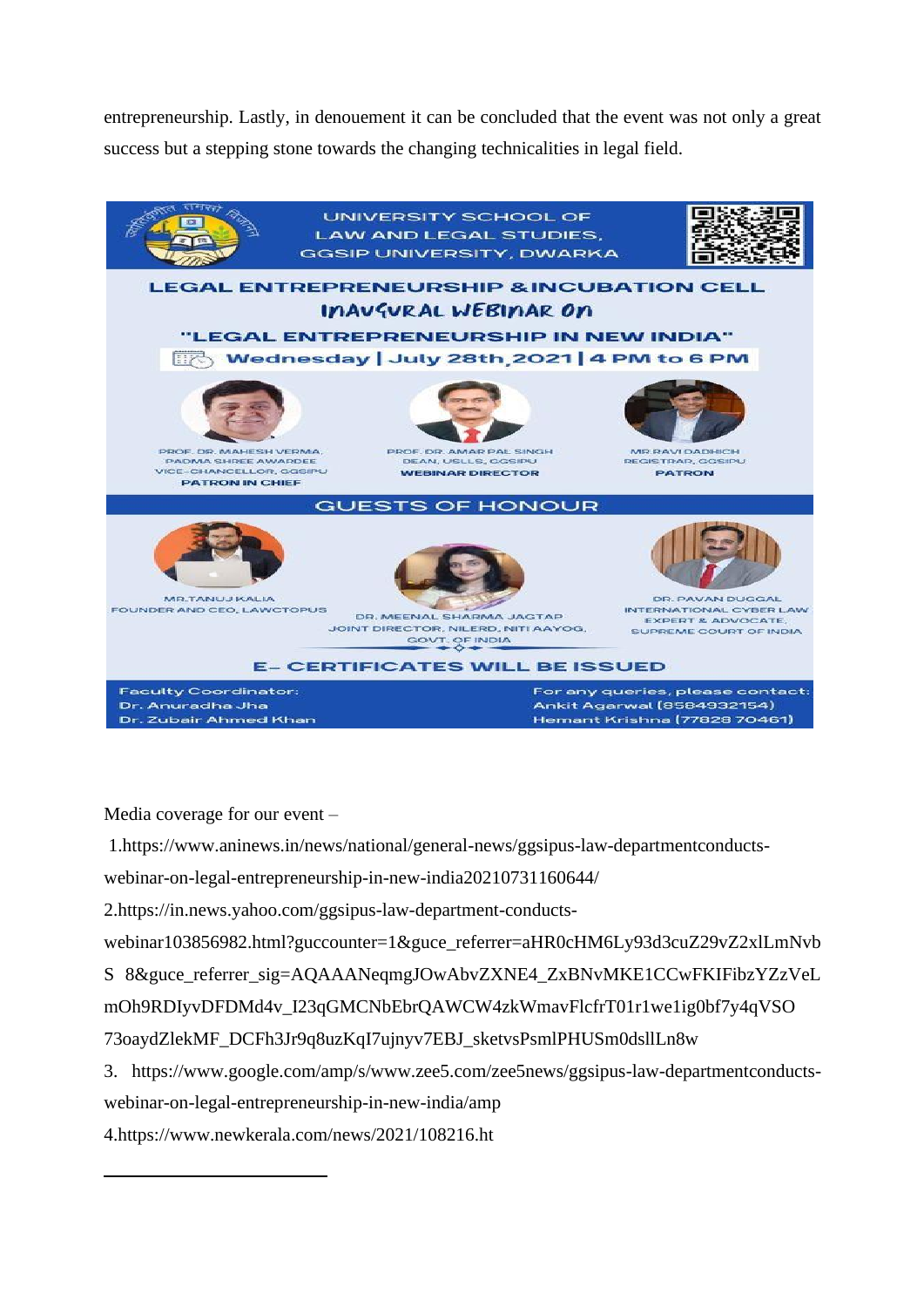entrepreneurship. Lastly, in denouement it can be concluded that the event was not only a great success but a stepping stone towards the changing technicalities in legal field.



Media coverage for our event –

1.https://www.aninews.in/news/national/general-news/ggsipus-law-departmentconducts-

webinar-on-legal-entrepreneurship-in-new-india20210731160644/

2.https://in.news.yahoo.com/ggsipus-law-department-conducts-

webinar103856982.html?guccounter=1&guce\_referrer=aHR0cHM6Ly93d3cuZ29vZ2xlLmNvb

S 8&guce\_referrer\_sig=AQAAANeqmgJOwAbvZXNE4\_ZxBNvMKE1CCwFKIFibzYZzVeL

mOh9RDIyvDFDMd4v\_I23qGMCNbEbrQAWCW4zkWmavFlcfrT01r1we1ig0bf7y4qVSO

73oaydZlekMF\_DCFh3Jr9q8uzKqI7ujnyv7EBJ\_sketvsPsmlPHUSm0dsllLn8w

3. https://www.google.com/amp/s/www.zee5.com/zee5news/ggsipus-law-departmentconductswebinar-on-legal-entrepreneurship-in-new-india/amp

4.https://www.newkerala.com/news/2021/108216.ht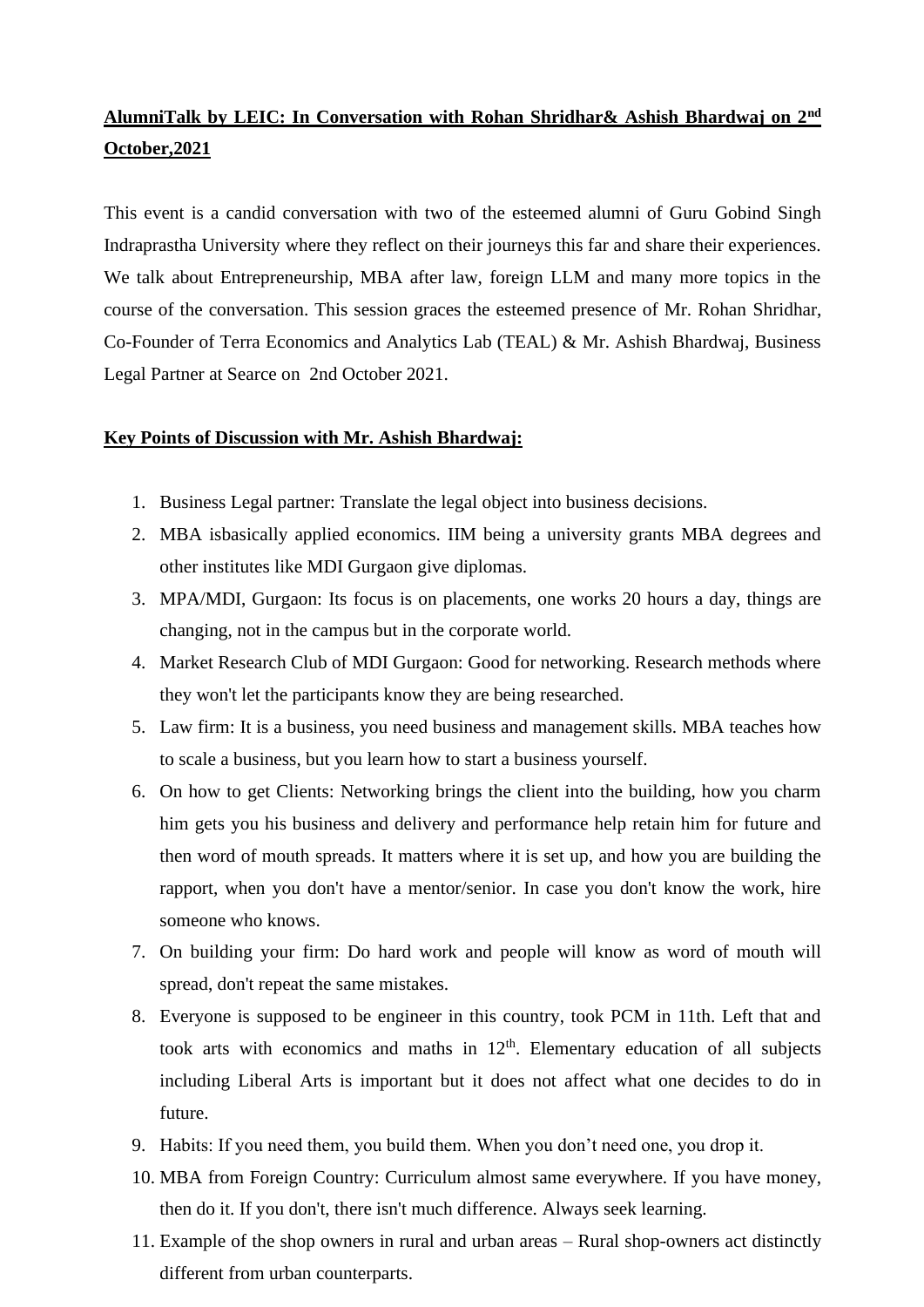### **AlumniTalk by LEIC: In Conversation with Rohan Shridhar& Ashish Bhardwaj on 2nd October,2021**

This event is a candid conversation with two of the esteemed alumni of Guru Gobind Singh Indraprastha University where they reflect on their journeys this far and share their experiences. We talk about Entrepreneurship, MBA after law, foreign LLM and many more topics in the course of the conversation. This session graces the esteemed presence of Mr. Rohan Shridhar, Co-Founder of Terra Economics and Analytics Lab (TEAL) & Mr. Ashish Bhardwaj, Business Legal Partner at Searce on 2nd October 2021.

#### **Key Points of Discussion with Mr. Ashish Bhardwaj:**

- 1. Business Legal partner: Translate the legal object into business decisions.
- 2. MBA isbasically applied economics. IIM being a university grants MBA degrees and other institutes like MDI Gurgaon give diplomas.
- 3. MPA/MDI, Gurgaon: Its focus is on placements, one works 20 hours a day, things are changing, not in the campus but in the corporate world.
- 4. Market Research Club of MDI Gurgaon: Good for networking. Research methods where they won't let the participants know they are being researched.
- 5. Law firm: It is a business, you need business and management skills. MBA teaches how to scale a business, but you learn how to start a business yourself.
- 6. On how to get Clients: Networking brings the client into the building, how you charm him gets you his business and delivery and performance help retain him for future and then word of mouth spreads. It matters where it is set up, and how you are building the rapport, when you don't have a mentor/senior. In case you don't know the work, hire someone who knows.
- 7. On building your firm: Do hard work and people will know as word of mouth will spread, don't repeat the same mistakes.
- 8. Everyone is supposed to be engineer in this country, took PCM in 11th. Left that and took arts with economics and maths in  $12<sup>th</sup>$ . Elementary education of all subjects including Liberal Arts is important but it does not affect what one decides to do in future.
- 9. Habits: If you need them, you build them. When you don't need one, you drop it.
- 10. MBA from Foreign Country: Curriculum almost same everywhere. If you have money, then do it. If you don't, there isn't much difference. Always seek learning.
- 11. Example of the shop owners in rural and urban areas Rural shop-owners act distinctly different from urban counterparts.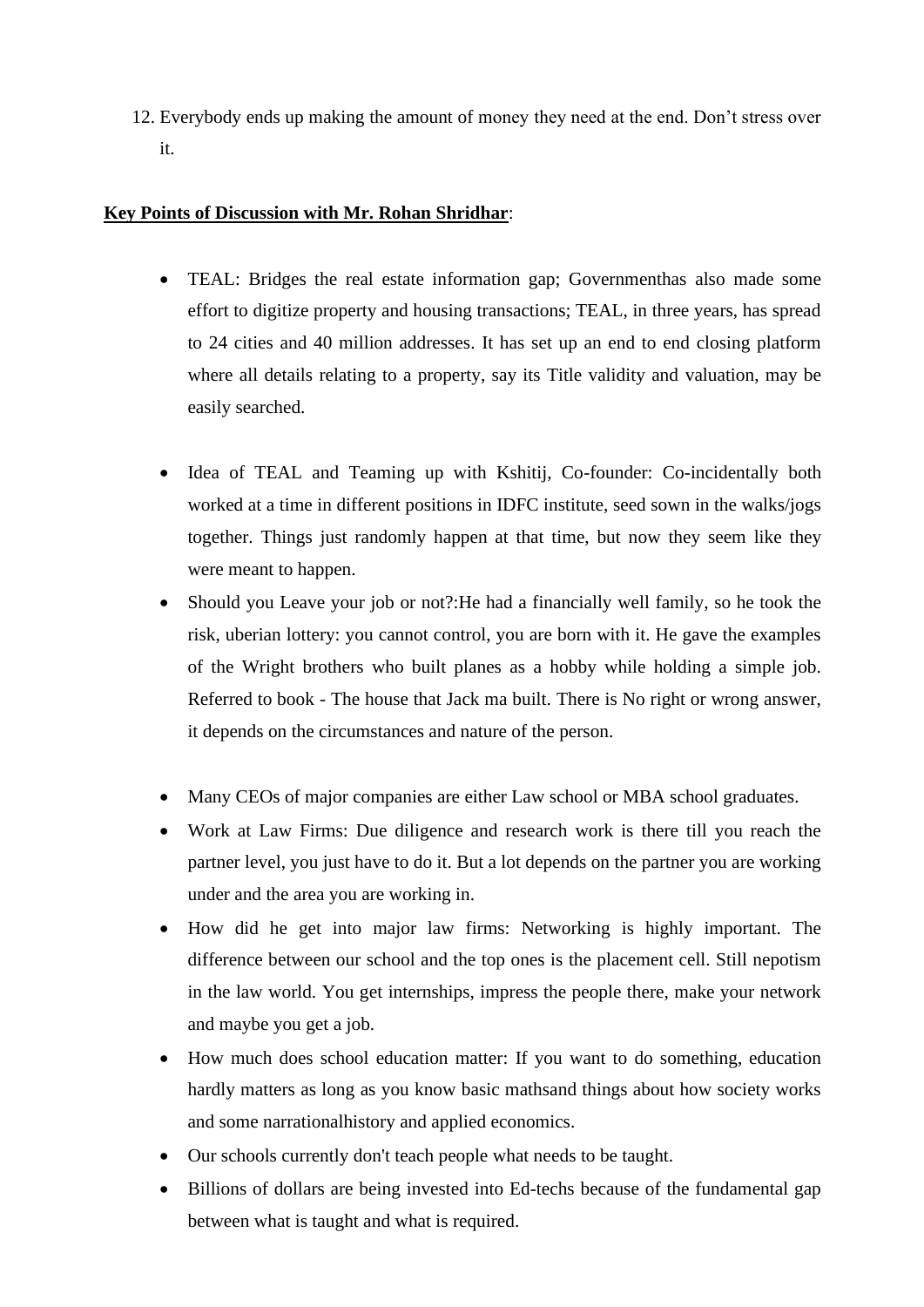12. Everybody ends up making the amount of money they need at the end. Don't stress over it.

#### **Key Points of Discussion with Mr. Rohan Shridhar**:

- TEAL: Bridges the real estate information gap; Governmenthas also made some effort to digitize property and housing transactions; TEAL, in three years, has spread to 24 cities and 40 million addresses. It has set up an end to end closing platform where all details relating to a property, say its Title validity and valuation, may be easily searched.
- Idea of TEAL and Teaming up with Kshitij, Co-founder: Co-incidentally both worked at a time in different positions in IDFC institute, seed sown in the walks/jogs together. Things just randomly happen at that time, but now they seem like they were meant to happen.
- Should you Leave your job or not?:He had a financially well family, so he took the risk, uberian lottery: you cannot control, you are born with it. He gave the examples of the Wright brothers who built planes as a hobby while holding a simple job. Referred to book - The house that Jack ma built. There is No right or wrong answer, it depends on the circumstances and nature of the person.
- Many CEOs of major companies are either Law school or MBA school graduates.
- Work at Law Firms: Due diligence and research work is there till you reach the partner level, you just have to do it. But a lot depends on the partner you are working under and the area you are working in.
- How did he get into major law firms: Networking is highly important. The difference between our school and the top ones is the placement cell. Still nepotism in the law world. You get internships, impress the people there, make your network and maybe you get a job.
- How much does school education matter: If you want to do something, education hardly matters as long as you know basic mathsand things about how society works and some narrationalhistory and applied economics.
- Our schools currently don't teach people what needs to be taught.
- Billions of dollars are being invested into Ed-techs because of the fundamental gap between what is taught and what is required.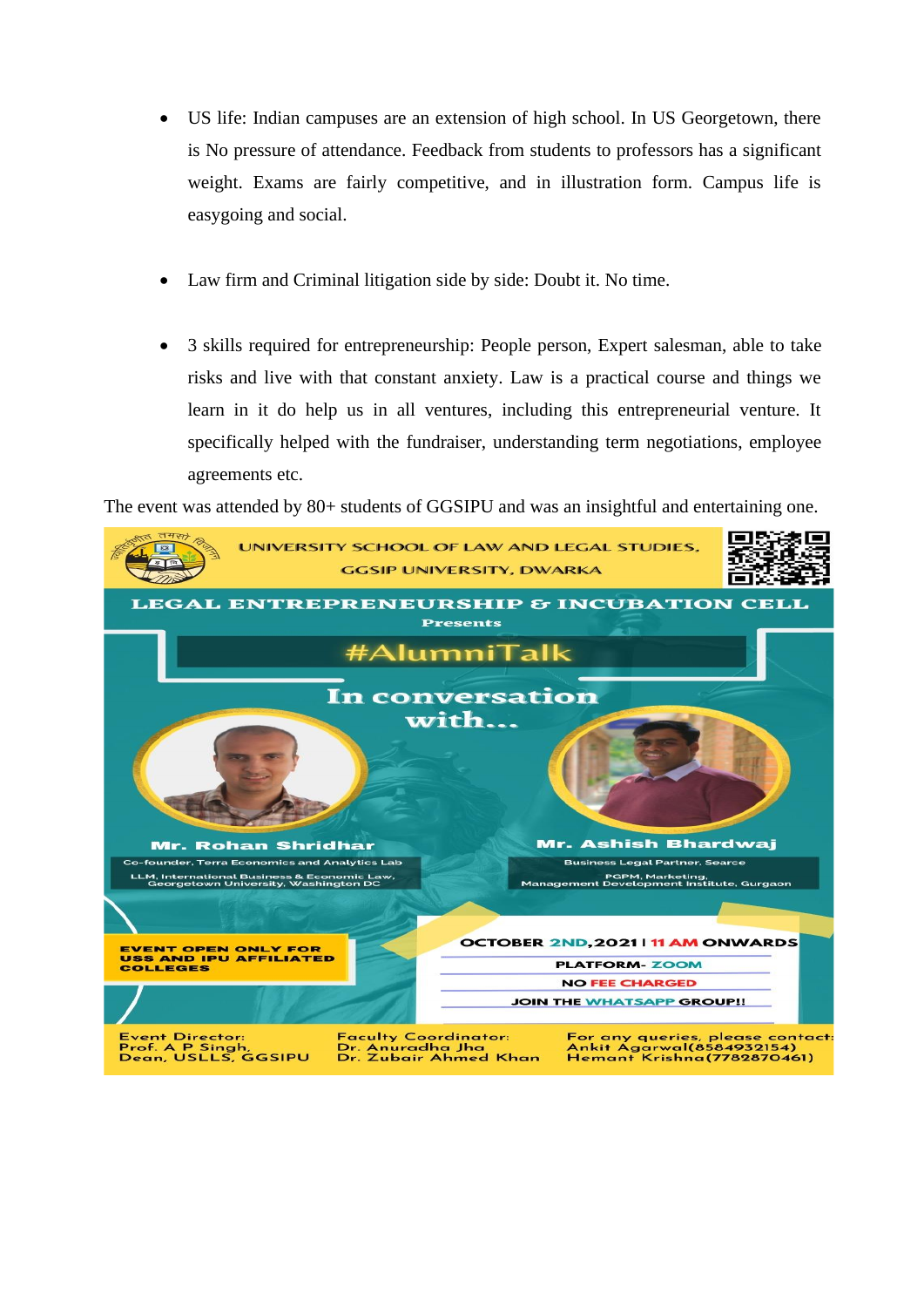- US life: Indian campuses are an extension of high school. In US Georgetown, there is No pressure of attendance. Feedback from students to professors has a significant weight. Exams are fairly competitive, and in illustration form. Campus life is easygoing and social.
- Law firm and Criminal litigation side by side: Doubt it. No time.
- 3 skills required for entrepreneurship: People person, Expert salesman, able to take risks and live with that constant anxiety. Law is a practical course and things we learn in it do help us in all ventures, including this entrepreneurial venture. It specifically helped with the fundraiser, understanding term negotiations, employee agreements etc.

The event was attended by 80+ students of GGSIPU and was an insightful and entertaining one.

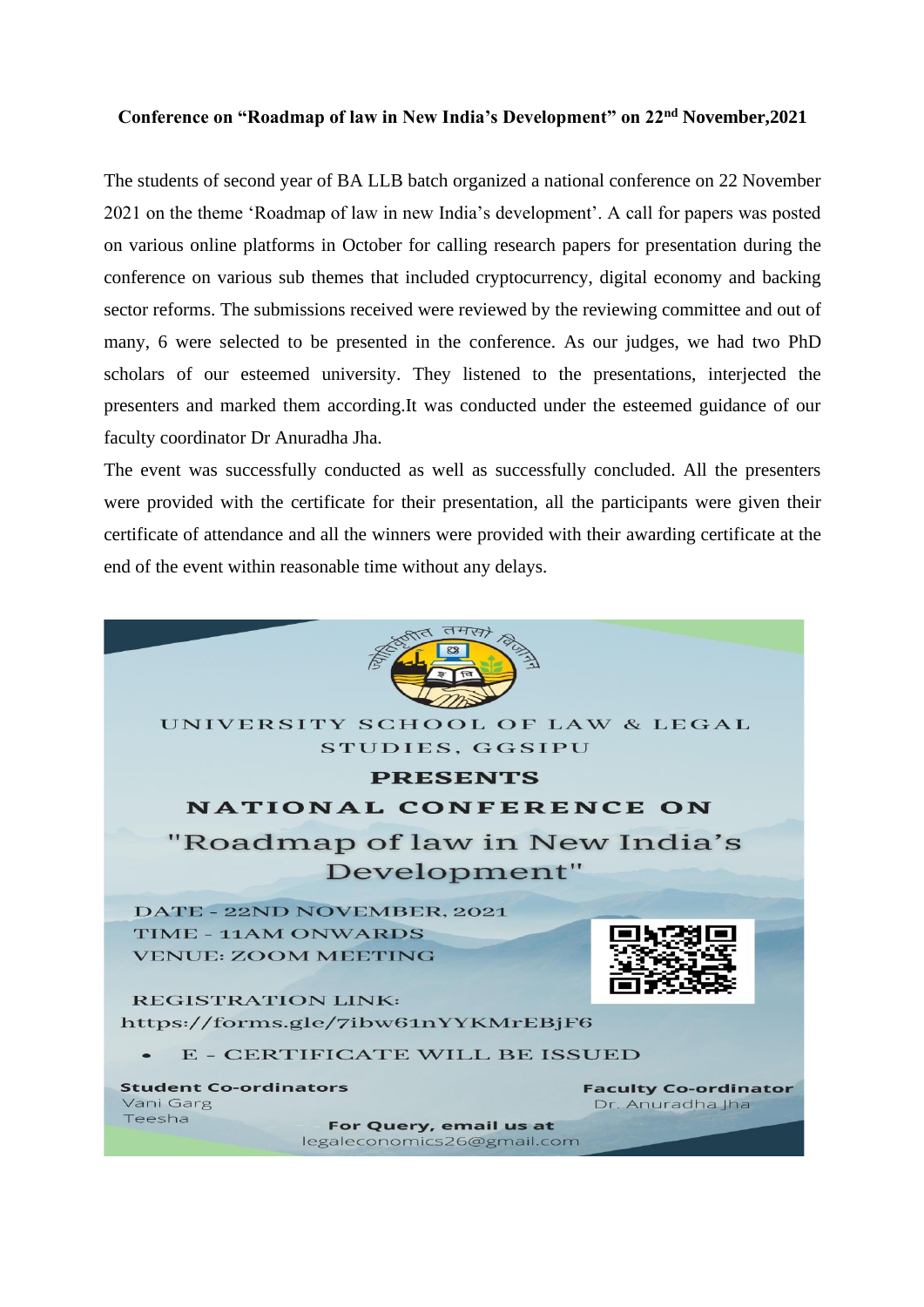#### **Conference on "Roadmap of law in New India's Development" on 22nd November,2021**

The students of second year of BA LLB batch organized a national conference on 22 November 2021 on the theme 'Roadmap of law in new India's development'. A call for papers was posted on various online platforms in October for calling research papers for presentation during the conference on various sub themes that included cryptocurrency, digital economy and backing sector reforms. The submissions received were reviewed by the reviewing committee and out of many, 6 were selected to be presented in the conference. As our judges, we had two PhD scholars of our esteemed university. They listened to the presentations, interjected the presenters and marked them according.It was conducted under the esteemed guidance of our faculty coordinator Dr Anuradha Jha.

The event was successfully conducted as well as successfully concluded. All the presenters were provided with the certificate for their presentation, all the participants were given their certificate of attendance and all the winners were provided with their awarding certificate at the end of the event within reasonable time without any delays.

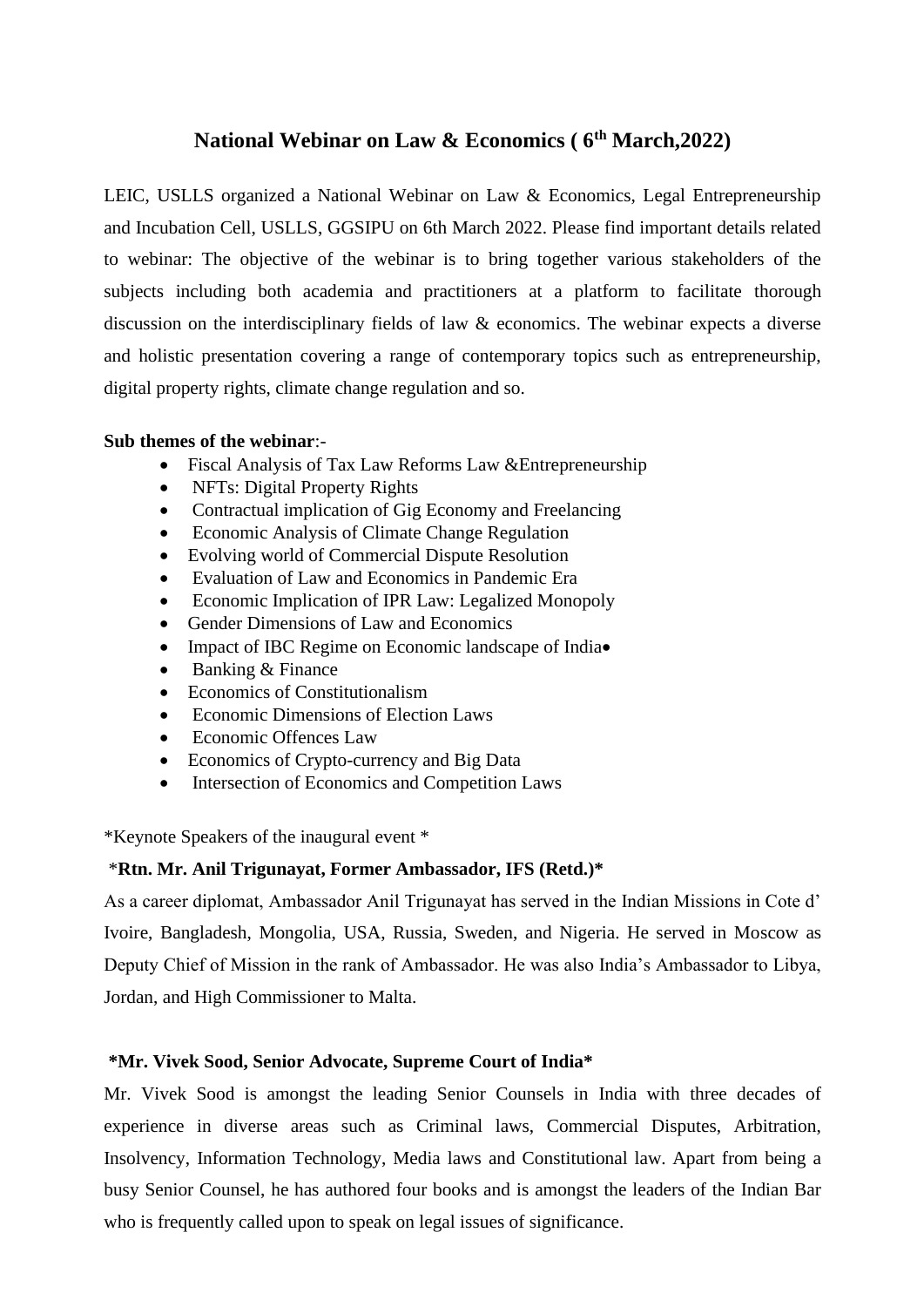#### **National Webinar on Law & Economics ( 6th March,2022)**

LEIC, USLLS organized a National Webinar on Law & Economics, Legal Entrepreneurship and Incubation Cell, USLLS, GGSIPU on 6th March 2022. Please find important details related to webinar: The objective of the webinar is to bring together various stakeholders of the subjects including both academia and practitioners at a platform to facilitate thorough discussion on the interdisciplinary fields of law & economics. The webinar expects a diverse and holistic presentation covering a range of contemporary topics such as entrepreneurship, digital property rights, climate change regulation and so.

#### **Sub themes of the webinar**:-

- Fiscal Analysis of Tax Law Reforms Law &Entrepreneurship
- NFTs: Digital Property Rights
- Contractual implication of Gig Economy and Freelancing
- Economic Analysis of Climate Change Regulation
- Evolving world of Commercial Dispute Resolution
- Evaluation of Law and Economics in Pandemic Era
- Economic Implication of IPR Law: Legalized Monopoly
- Gender Dimensions of Law and Economics
- Impact of IBC Regime on Economic landscape of India •
- Banking & Finance
- Economics of Constitutionalism
- Economic Dimensions of Election Laws
- Economic Offences Law
- Economics of Crypto-currency and Big Data
- Intersection of Economics and Competition Laws

\*Keynote Speakers of the inaugural event \*

#### \***Rtn. Mr. Anil Trigunayat, Former Ambassador, IFS (Retd.)\***

As a career diplomat, Ambassador Anil Trigunayat has served in the Indian Missions in Cote d' Ivoire, Bangladesh, Mongolia, USA, Russia, Sweden, and Nigeria. He served in Moscow as Deputy Chief of Mission in the rank of Ambassador. He was also India's Ambassador to Libya, Jordan, and High Commissioner to Malta.

#### **\*Mr. Vivek Sood, Senior Advocate, Supreme Court of India\***

Mr. Vivek Sood is amongst the leading Senior Counsels in India with three decades of experience in diverse areas such as Criminal laws, Commercial Disputes, Arbitration, Insolvency, Information Technology, Media laws and Constitutional law. Apart from being a busy Senior Counsel, he has authored four books and is amongst the leaders of the Indian Bar who is frequently called upon to speak on legal issues of significance.